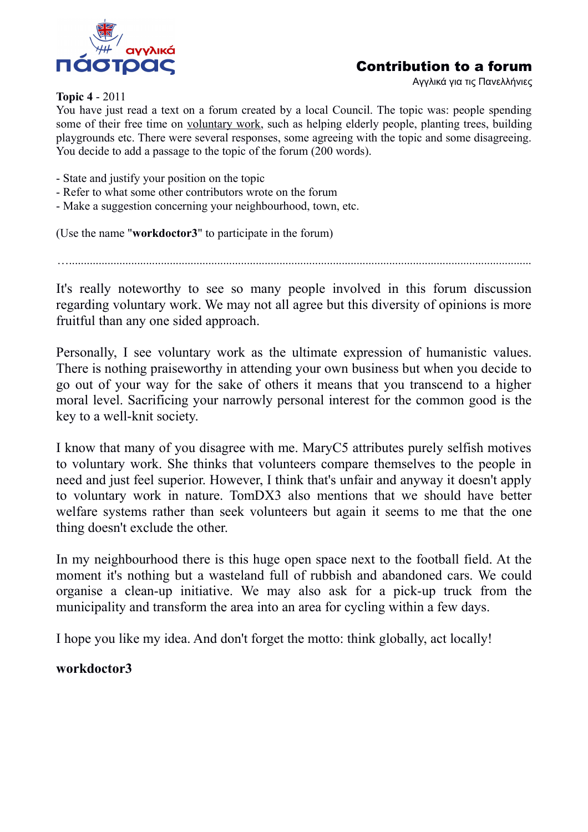

# Contribution to a forum

Αγγλικά για τις Πανελλήνιες

#### **Topic 4** - 2011

You have just read a text on a forum created by a local Council. The topic was: people spending some of their free time on voluntary work, such as helping elderly people, planting trees, building playgrounds etc. There were several responses, some agreeing with the topic and some disagreeing. You decide to add a passage to the topic of the forum (200 words).

- State and justify your position on the topic
- Refer to what some other contributors wrote on the forum
- Make a suggestion concerning your neighbourhood, town, etc.

(Use the name "**workdoctor3**" to participate in the forum)

…............................................................................................................................................................

It's really noteworthy to see so many people involved in this forum discussion regarding voluntary work. We may not all agree but this diversity of opinions is more fruitful than any one sided approach.

Personally, I see voluntary work as the ultimate expression of humanistic values. There is nothing praiseworthy in attending your own business but when you decide to go out of your way for the sake of others it means that you transcend to a higher moral level. Sacrificing your narrowly personal interest for the common good is the key to a well-knit society.

I know that many of you disagree with me. MaryC5 attributes purely selfish motives to voluntary work. She thinks that volunteers compare themselves to the people in need and just feel superior. However, I think that's unfair and anyway it doesn't apply to voluntary work in nature. TomDX3 also mentions that we should have better welfare systems rather than seek volunteers but again it seems to me that the one thing doesn't exclude the other.

In my neighbourhood there is this huge open space next to the football field. At the moment it's nothing but a wasteland full of rubbish and abandoned cars. We could organise a clean-up initiative. We may also ask for a pick-up truck from the municipality and transform the area into an area for cycling within a few days.

I hope you like my idea. And don't forget the motto: think globally, act locally!

# **workdoctor3**